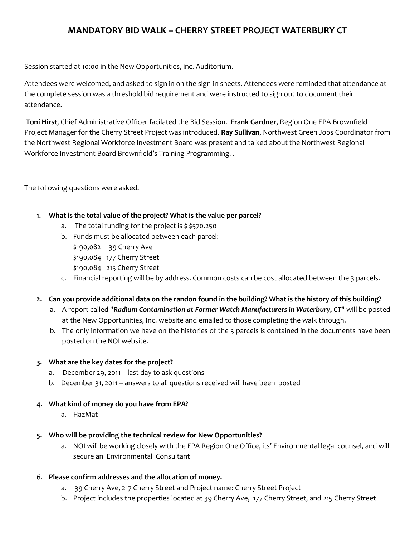# **MANDATORY BID WALK – CHERRY STREET PROJECT WATERBURY CT**

Session started at 10:00 in the New Opportunities, inc. Auditorium.

Attendees were welcomed, and asked to sign in on the sign-in sheets. Attendees were reminded that attendance at the complete session was a threshold bid requirement and were instructed to sign out to document their attendance.

**Toni Hirst**, Chief Administrative Officer facilated the Bid Session. **Frank Gardner**, Region One EPA Brownfield Project Manager for the Cherry Street Project was introduced. **Ray Sullivan**, Northwest Green Jobs Coordinator from the Northwest Regional Workforce Investment Board was present and talked about the Northwest Regional Workforce Investment Board Brownfield's Training Programming. .

The following questions were asked.

# **1. What is the total value of the project? What is the value per parcel?**

- a. The total funding for the project is  $$570.250$
- b. Funds must be allocated between each parcel: \$190,082 39 Cherry Ave \$190,084 177 Cherry Street \$190,084 215 Cherry Street
- c. Financial reporting will be by address. Common costs can be cost allocated between the 3 parcels.

# **2. Can you provide additional data on the randon found in the building? What is the history of this building?**

- a. A report called "*Radium Contamination at Former Watch Manufacturers in Waterbury, CT*" will be posted at the New Opportunities, Inc. website and emailed to those completing the walk through.
- b. The only information we have on the histories of the 3 parcels is contained in the documents have been posted on the NOI website.

# **3. What are the key dates for the project?**

- a. December 29, 2011 last day to ask questions
- b. December 31, 2011 answers to all questions received will have been posted

## **4. What kind of money do you have from EPA?**

a. HazMat

## **5. Who will be providing the technical review for New Opportunities?**

- a. NOI will be working closely with the EPA Region One Office, its' Environmental legal counsel, and will secure an Environmental Consultant
- 6. **Please confirm addresses and the allocation of money.**
	- a. 39 Cherry Ave, 217 Cherry Street and Project name: Cherry Street Project
	- b. Project includes the properties located at 39 Cherry Ave, 177 Cherry Street, and 215 Cherry Street